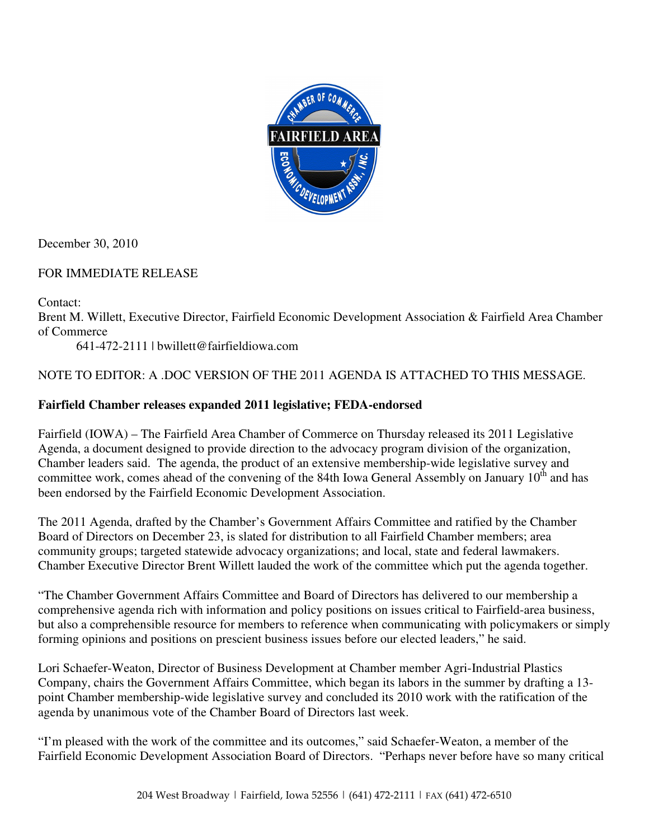

December 30, 2010

# FOR IMMEDIATE RELEASE

Contact:

Brent M. Willett, Executive Director, Fairfield Economic Development Association & Fairfield Area Chamber of Commerce

641-472-2111 | bwillett@fairfieldiowa.com

# NOTE TO EDITOR: A .DOC VERSION OF THE 2011 AGENDA IS ATTACHED TO THIS MESSAGE.

# **Fairfield Chamber releases expanded 2011 legislative; FEDA-endorsed**

Fairfield (IOWA) – The Fairfield Area Chamber of Commerce on Thursday released its 2011 Legislative Agenda, a document designed to provide direction to the advocacy program division of the organization, Chamber leaders said. The agenda, the product of an extensive membership-wide legislative survey and committee work, comes ahead of the convening of the 84th Iowa General Assembly on January 10<sup>th</sup> and has been endorsed by the Fairfield Economic Development Association.

The 2011 Agenda, drafted by the Chamber's Government Affairs Committee and ratified by the Chamber Board of Directors on December 23, is slated for distribution to all Fairfield Chamber members; area community groups; targeted statewide advocacy organizations; and local, state and federal lawmakers. Chamber Executive Director Brent Willett lauded the work of the committee which put the agenda together.

"The Chamber Government Affairs Committee and Board of Directors has delivered to our membership a comprehensive agenda rich with information and policy positions on issues critical to Fairfield-area business, but also a comprehensible resource for members to reference when communicating with policymakers or simply forming opinions and positions on prescient business issues before our elected leaders," he said.

Lori Schaefer-Weaton, Director of Business Development at Chamber member Agri-Industrial Plastics Company, chairs the Government Affairs Committee, which began its labors in the summer by drafting a 13 point Chamber membership-wide legislative survey and concluded its 2010 work with the ratification of the agenda by unanimous vote of the Chamber Board of Directors last week.

"I'm pleased with the work of the committee and its outcomes," said Schaefer-Weaton, a member of the Fairfield Economic Development Association Board of Directors. "Perhaps never before have so many critical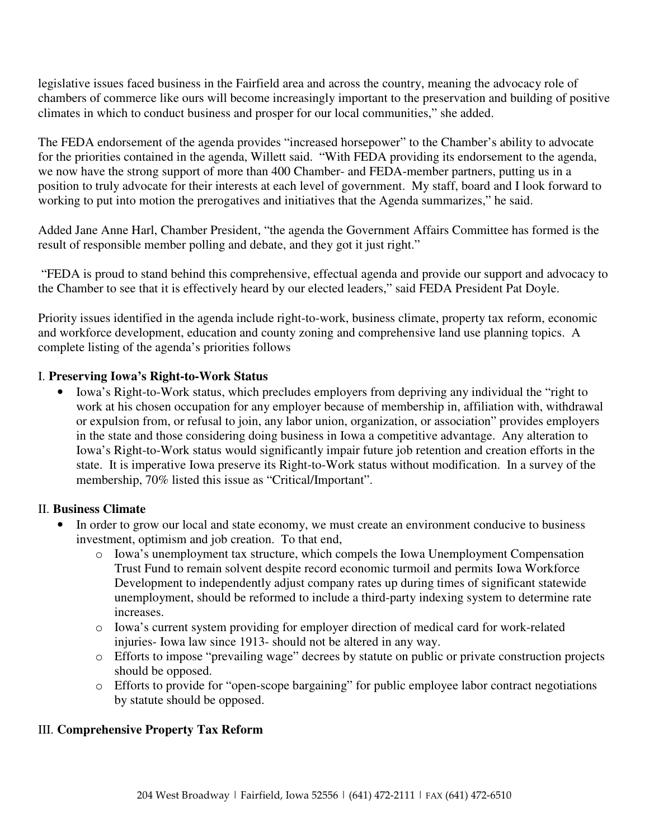legislative issues faced business in the Fairfield area and across the country, meaning the advocacy role of chambers of commerce like ours will become increasingly important to the preservation and building of positive climates in which to conduct business and prosper for our local communities," she added.

The FEDA endorsement of the agenda provides "increased horsepower" to the Chamber's ability to advocate for the priorities contained in the agenda, Willett said. "With FEDA providing its endorsement to the agenda, we now have the strong support of more than 400 Chamber- and FEDA-member partners, putting us in a position to truly advocate for their interests at each level of government. My staff, board and I look forward to working to put into motion the prerogatives and initiatives that the Agenda summarizes," he said.

Added Jane Anne Harl, Chamber President, "the agenda the Government Affairs Committee has formed is the result of responsible member polling and debate, and they got it just right."

 "FEDA is proud to stand behind this comprehensive, effectual agenda and provide our support and advocacy to the Chamber to see that it is effectively heard by our elected leaders," said FEDA President Pat Doyle.

Priority issues identified in the agenda include right-to-work, business climate, property tax reform, economic and workforce development, education and county zoning and comprehensive land use planning topics. A complete listing of the agenda's priorities follows

## I. **Preserving Iowa's Right-to-Work Status**

• Iowa's Right-to-Work status, which precludes employers from depriving any individual the "right to work at his chosen occupation for any employer because of membership in, affiliation with, withdrawal or expulsion from, or refusal to join, any labor union, organization, or association" provides employers in the state and those considering doing business in Iowa a competitive advantage. Any alteration to Iowa's Right-to-Work status would significantly impair future job retention and creation efforts in the state. It is imperative Iowa preserve its Right-to-Work status without modification. In a survey of the membership, 70% listed this issue as "Critical/Important".

#### II. **Business Climate**

- In order to grow our local and state economy, we must create an environment conducive to business investment, optimism and job creation. To that end,
	- o Iowa's unemployment tax structure, which compels the Iowa Unemployment Compensation Trust Fund to remain solvent despite record economic turmoil and permits Iowa Workforce Development to independently adjust company rates up during times of significant statewide unemployment, should be reformed to include a third-party indexing system to determine rate increases.
	- o Iowa's current system providing for employer direction of medical card for work-related injuries- Iowa law since 1913- should not be altered in any way.
	- o Efforts to impose "prevailing wage" decrees by statute on public or private construction projects should be opposed.
	- o Efforts to provide for "open-scope bargaining" for public employee labor contract negotiations by statute should be opposed.

## III. **Comprehensive Property Tax Reform**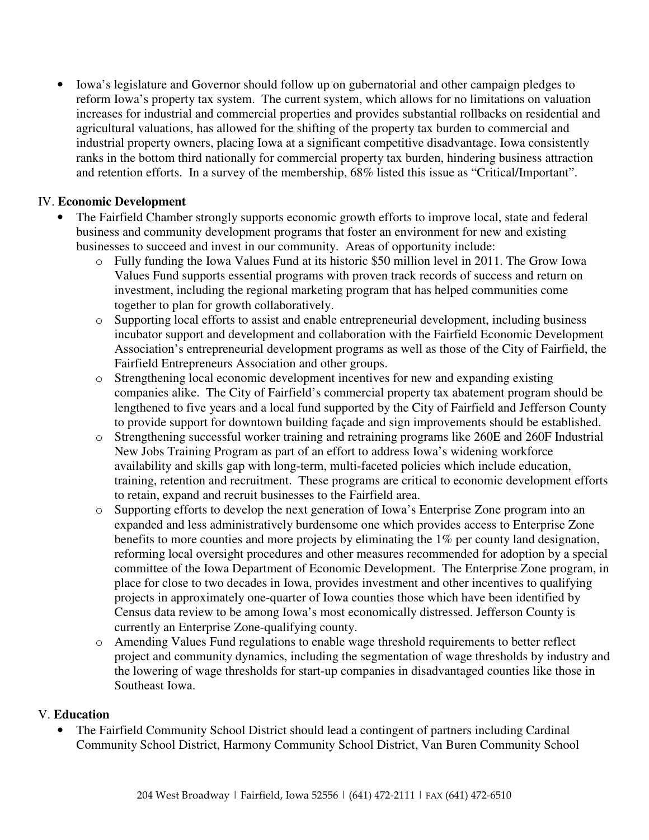• Iowa's legislature and Governor should follow up on gubernatorial and other campaign pledges to reform Iowa's property tax system. The current system, which allows for no limitations on valuation increases for industrial and commercial properties and provides substantial rollbacks on residential and agricultural valuations, has allowed for the shifting of the property tax burden to commercial and industrial property owners, placing Iowa at a significant competitive disadvantage. Iowa consistently ranks in the bottom third nationally for commercial property tax burden, hindering business attraction and retention efforts. In a survey of the membership, 68% listed this issue as "Critical/Important".

### IV. **Economic Development**

- The Fairfield Chamber strongly supports economic growth efforts to improve local, state and federal business and community development programs that foster an environment for new and existing businesses to succeed and invest in our community. Areas of opportunity include:
	- o Fully funding the Iowa Values Fund at its historic \$50 million level in 2011. The Grow Iowa Values Fund supports essential programs with proven track records of success and return on investment, including the regional marketing program that has helped communities come together to plan for growth collaboratively.
	- o Supporting local efforts to assist and enable entrepreneurial development, including business incubator support and development and collaboration with the Fairfield Economic Development Association's entrepreneurial development programs as well as those of the City of Fairfield, the Fairfield Entrepreneurs Association and other groups.
	- o Strengthening local economic development incentives for new and expanding existing companies alike. The City of Fairfield's commercial property tax abatement program should be lengthened to five years and a local fund supported by the City of Fairfield and Jefferson County to provide support for downtown building façade and sign improvements should be established.
	- o Strengthening successful worker training and retraining programs like 260E and 260F Industrial New Jobs Training Program as part of an effort to address Iowa's widening workforce availability and skills gap with long-term, multi-faceted policies which include education, training, retention and recruitment. These programs are critical to economic development efforts to retain, expand and recruit businesses to the Fairfield area.
	- o Supporting efforts to develop the next generation of Iowa's Enterprise Zone program into an expanded and less administratively burdensome one which provides access to Enterprise Zone benefits to more counties and more projects by eliminating the 1% per county land designation, reforming local oversight procedures and other measures recommended for adoption by a special committee of the Iowa Department of Economic Development. The Enterprise Zone program, in place for close to two decades in Iowa, provides investment and other incentives to qualifying projects in approximately one-quarter of Iowa counties those which have been identified by Census data review to be among Iowa's most economically distressed. Jefferson County is currently an Enterprise Zone-qualifying county.
	- o Amending Values Fund regulations to enable wage threshold requirements to better reflect project and community dynamics, including the segmentation of wage thresholds by industry and the lowering of wage thresholds for start-up companies in disadvantaged counties like those in Southeast Iowa.

#### V. **Education**

• The Fairfield Community School District should lead a contingent of partners including Cardinal Community School District, Harmony Community School District, Van Buren Community School